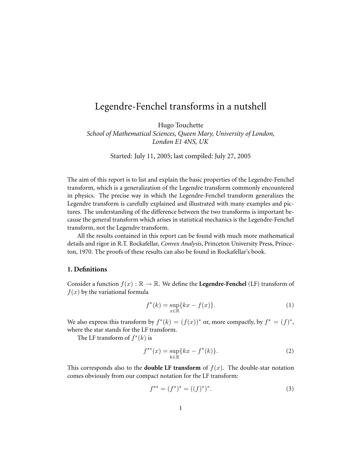# Legendre-Fenchel transforms in a nutshell

Hugo Touchette *School of Mathematical Sciences, Queen Mary, University of London, London E1 4NS, UK*

Started: July 11, 2005; last compiled: July 27, 2005

The aim of this report is to list and explain the basic properties of the Legendre-Fenchel transform, which is a generalization of the Legendre transform commonly encountered in physics. The precise way in which the Legendre-Fenchel transform generalizes the Legendre transform is carefully explained and illustrated with many examples and pictures. The understanding of the difference between the two transforms is important because the general transform which arises in statistical mechanics is the Legendre-Fenchel transform, not the Legendre transform.

All the results contained in this report can be found with much more mathematical details and rigor in R.T. Rockafellar, *Convex Analysis*, Princeton University Press, Princeton, 1970. The proofs of these results can also be found in Rockafellar's book.

# **1. Definitions**

Consider a function  $f(x) : \mathbb{R} \to \mathbb{R}$ . We define the **Legendre-Fenchel** (LF) transform of  $f(x)$  by the variational formula

$$
f^*(k) = \sup_{x \in \mathbb{R}} \{ kx - f(x) \}. \tag{1}
$$

We also express this transform by  $f^*(k) = (f(x))^*$  or, more compactly, by  $f^* = (f)^*$ , where the star stands for the LF transform.

The LF transform of  $f^*(k)$  is

$$
f^{**}(x) = \sup_{k \in \mathbb{R}} \{ kx - f^*(k) \}.
$$
 (2)

This corresponds also to the **double LF transform** of  $f(x)$ . The double-star notation comes obviously from our compact notation for the LF transform:

$$
f^{**} = (f^*)^* = ((f)^*)^*.
$$
\n(3)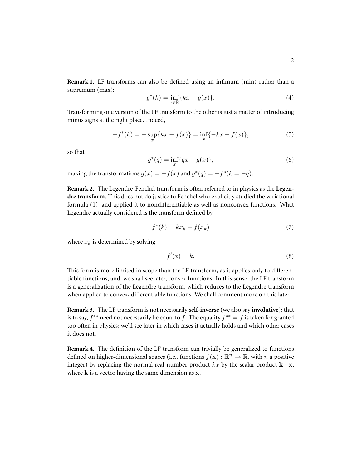**Remark 1.** LF transforms can also be defined using an infimum (min) rather than a supremum (max):

$$
g^*(k) = \inf_{x \in \mathbb{R}} \{ kx - g(x) \}. \tag{4}
$$

Transforming one version of the LF transform to the other is just a matter of introducing minus signs at the right place. Indeed,

$$
-f^*(k) = -\sup_x\{kx - f(x)\} = \inf_x\{-kx + f(x)\},\tag{5}
$$

so that

$$
g^*(q) = \inf_x \{ qx - g(x) \},\tag{6}
$$

making the transformations  $g(x) = -f(x)$  and  $g^*(q) = -f^*(k = -q)$ .

**Remark 2.** The Legendre-Fenchel transform is often referred to in physics as the **Legendre transform**. This does not do justice to Fenchel who explicitly studied the variational formula (1), and applied it to nondifferentiable as well as nonconvex functions. What Legendre actually considered is the transform defined by

$$
f^*(k) = kx_k - f(x_k)
$$
\n<sup>(7)</sup>

where  $x_k$  is determined by solving

$$
f'(x) = k.\t\t(8)
$$

This form is more limited in scope than the LF transform, as it applies only to differentiable functions, and, we shall see later, convex functions. In this sense, the LF transform is a generalization of the Legendre transform, which reduces to the Legendre transform when applied to convex, differentiable functions. We shall comment more on this later.

**Remark 3.** The LF transform is not necessarily **self-inverse** (we also say **involutive**); that is to say,  $f^{**}$  need not necessarily be equal to f. The equality  $f^{**} = f$  is taken for granted too often in physics; we'll see later in which cases it actually holds and which other cases it does not.

**Remark 4.** The definition of the LF transform can trivially be generalized to functions defined on higher-dimensional spaces (i.e., functions  $f(\mathbf{x}): \mathbb{R}^n \to \mathbb{R}$ , with  $n$  a positive integer) by replacing the normal real-number product  $kx$  by the scalar product  $\mathbf{k} \cdot \mathbf{x}$ , where  $k$  is a vector having the same dimension as  $x$ .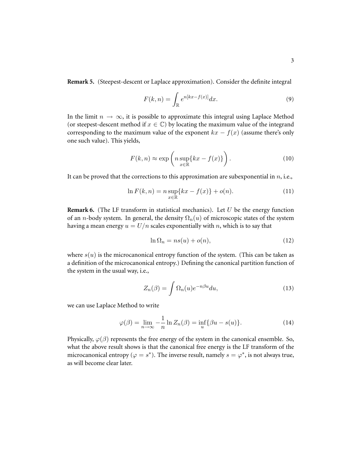**Remark 5.** (Steepest-descent or Laplace approximation). Consider the definite integral

$$
F(k,n) = \int_{\mathbb{R}} e^{n[kx - f(x)]} dx.
$$
 (9)

In the limit  $n \to \infty$ , it is possible to approximate this integral using Laplace Method (or steepest-descent method if  $x \in \mathbb{C}$ ) by locating the maximum value of the integrand corresponding to the maximum value of the exponent  $kx - f(x)$  (assume there's only one such value). This yields,

$$
F(k, n) \approx \exp\left(n \sup_{x \in \mathbb{R}} \{kx - f(x)\}\right).
$$
 (10)

It can be proved that the corrections to this approximation are subexponential in  $n$ , i.e.,

$$
\ln F(k, n) = n \sup_{x \in \mathbb{R}} \{ kx - f(x) \} + o(n).
$$
 (11)

**Remark 6.** (The LF transform in statistical mechanics). Let  $U$  be the energy function of an *n*-body system. In general, the density  $\Omega_n(u)$  of microscopic states of the system having a mean energy  $u = U/n$  scales exponentially with n, which is to say that

$$
\ln \Omega_n = ns(u) + o(n),\tag{12}
$$

where  $s(u)$  is the microcanonical entropy function of the system. (This can be taken as a definition of the microcanonical entropy.) Defining the canonical partition function of the system in the usual way, i.e.,

$$
Z_n(\beta) = \int \Omega_n(u)e^{-n\beta u} du,
$$
\n(13)

we can use Laplace Method to write

$$
\varphi(\beta) = \lim_{n \to \infty} -\frac{1}{n} \ln Z_n(\beta) = \inf_u \{ \beta u - s(u) \}. \tag{14}
$$

Physically,  $\varphi(\beta)$  represents the free energy of the system in the canonical ensemble. So, what the above result shows is that the canonical free energy is the LF transform of the microcanonical entropy ( $\varphi = s^*$ ). The inverse result, namely  $s = \varphi^*$ , is not always true, as will become clear later.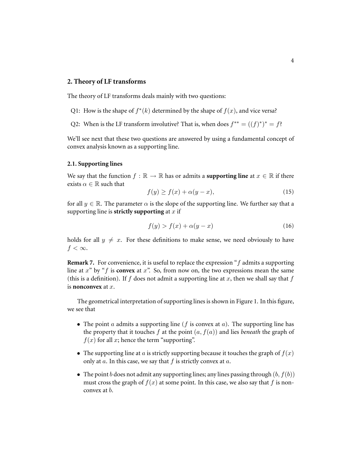## **2. Theory of LF transforms**

The theory of LF transforms deals mainly with two questions:

- Q1: How is the shape of  $f^*(k)$  determined by the shape of  $f(x)$ , and vice versa?
- Q2: When is the LF transform involutive? That is, when does  $f^{**} = ((f)^*)^* = f$ ?

We'll see next that these two questions are answered by using a fundamental concept of convex analysis known as a supporting line.

#### **2.1. Supporting lines**

We say that the function  $f : \mathbb{R} \to \mathbb{R}$  has or admits a **supporting line** at  $x \in \mathbb{R}$  if there exists  $\alpha \in \mathbb{R}$  such that

$$
f(y) \ge f(x) + \alpha(y - x),\tag{15}
$$

for all  $y \in \mathbb{R}$ . The parameter  $\alpha$  is the slope of the supporting line. We further say that a supporting line is **strictly supporting** at  $x$  if

$$
f(y) > f(x) + \alpha(y - x) \tag{16}
$$

holds for all  $y \neq x$ . For these definitions to make sense, we need obviously to have  $f < \infty$ .

**Remark 7.** For convenience, it is useful to replace the expression "f admits a supporting line at  $x^{\prime\prime}$  by "f is **convex** at  $x^{\prime\prime}$ . So, from now on, the two expressions mean the same (this is a definition). If f does not admit a supporting line at x, then we shall say that f is **nonconvex** at x.

The geometrical interpretation of supporting lines is shown in Figure 1. In this figure, we see that

- The point  $a$  admits a supporting line ( $f$  is convex at  $a$ ). The supporting line has the property that it touches  $f$  at the point  $(a, f(a))$  and lies *beneath* the graph of  $f(x)$  for all x; hence the term "supporting".
- The supporting line at a is strictly supporting because it touches the graph of  $f(x)$ only at  $a$ . In this case, we say that  $f$  is strictly convex at  $a$ .
- The point b does not admit any supporting lines; any lines passing through  $(b, f(b))$ must cross the graph of  $f(x)$  at some point. In this case, we also say that f is nonconvex at b.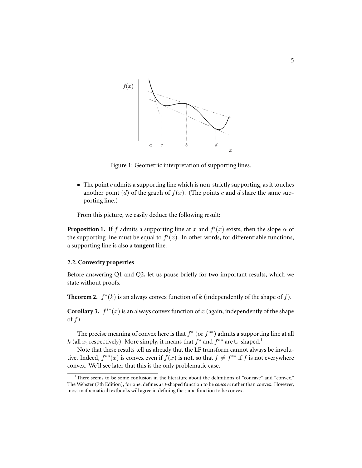

Figure 1: Geometric interpretation of supporting lines.

 $\bullet$  The point c admits a supporting line which is non-strictly supporting, as it touches another point (d) of the graph of  $f(x)$ . (The points c and d share the same supporting line.)

From this picture, we easily deduce the following result:

**Proposition 1.** If f admits a supporting line at x and  $f'(x)$  exists, then the slope  $\alpha$  of the supporting line must be equal to  $f'(x)$ . In other words, for differentiable functions, a supporting line is also a **tangent** line.

## **2.2. Convexity properties**

Before answering Q1 and Q2, let us pause briefly for two important results, which we state without proofs.

**Theorem 2.**  $f^*(k)$  is an always convex function of k (independently of the shape of f).

**Corollary 3.**  $f^{**}(x)$  is an always convex function of x (again, independently of the shape of  $f$ ).

The precise meaning of convex here is that  $f^*$  (or  $f^{**}$ ) admits a supporting line at all k (all x, respectively). More simply, it means that  $f^*$  and  $f^{**}$  are ∪-shaped.<sup>1</sup>

Note that these results tell us already that the LF transform cannot always be involutive. Indeed,  $f^{**}(x)$  is convex even if  $f(x)$  is not, so that  $f \neq f^{**}$  if  $f$  is not everywhere convex. We'll see later that this is the only problematic case.

 $1$ <sup>1</sup>There seems to be some confusion in the literature about the definitions of "concave" and "convex." The Webster (7th Edition), for one, defines a ∪-shaped function to be *concave* rather than convex. However, most mathematical textbooks will agree in defining the same function to be convex.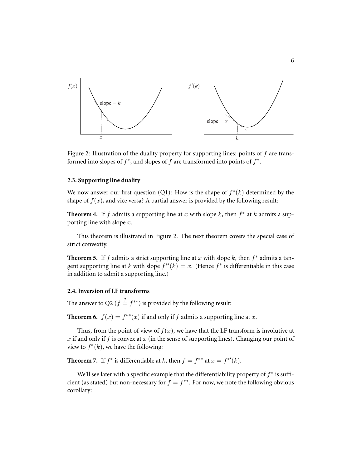

Figure 2: Illustration of the duality property for supporting lines: points of  $f$  are transformed into slopes of  $f^*$ , and slopes of  $f$  are transformed into points of  $f^*$ .

#### **2.3. Supporting line duality**

We now answer our first question (Q1): How is the shape of  $f^*(k)$  determined by the shape of  $f(x)$ , and vice versa? A partial answer is provided by the following result:

**Theorem 4.** If f admits a supporting line at x with slope  $k$ , then  $f^*$  at  $k$  admits a supporting line with slope  $x$ .

This theorem is illustrated in Figure 2. The next theorem covers the special case of strict convexity.

**Theorem 5.** If f admits a strict supporting line at x with slope  $k$ , then  $f^*$  admits a tangent supporting line at k with slope  $f^{*'}(k) = x$ . (Hence  $f^*$  is differentiable in this case in addition to admit a supporting line.)

# **2.4. Inversion of LF transforms**

The answer to Q2 ( $f \stackrel{?}{=} f^{**}$ ) is provided by the following result:

**Theorem 6.**  $f(x) = f^{**}(x)$  if and only if f admits a supporting line at x.

Thus, from the point of view of  $f(x)$ , we have that the LF transform is involutive at x if and only if f is convex at x (in the sense of supporting lines). Changing our point of view to  $f^*(k)$ , we have the following:

**Theorem 7.** If  $f^*$  is differentiable at k, then  $f = f^{**}$  at  $x = f^{*'}(k)$ .

We'll see later with a specific example that the differentiability property of  $f^*$  is sufficient (as stated) but non-necessary for  $f = f^{**}$ . For now, we note the following obvious corollary: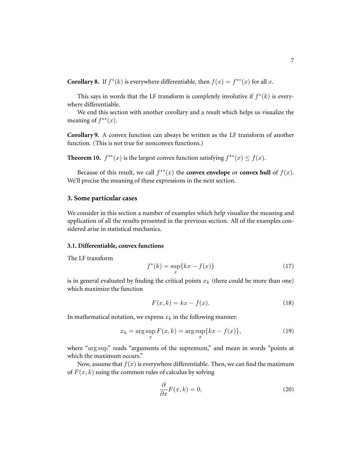**Corollary 8.** If  $f^*(k)$  is everywhere differentiable, then  $f(x) = f^{**}(x)$  for all x.

This says in words that the LF transform is completely involutive if  $f^*(k)$  is everywhere differentiable.

We end this section with another corollary and a result which helps us visualize the meaning of  $f^{**}(x)$ .

**Corollary 9.** A convex function can always be written as the LF transform of another function. (This is not true for nonconvex functions.)

**Theorem 10.**  $f^{**}(x)$  is the largest convex function satisfying  $f^{**}(x) \le f(x)$ .

Because of this result, we call  $f^{**}(x)$  the **convex envelope** or **convex hull** of  $f(x)$ . We'll precise the meaning of these expressions in the next section.

## **3. Some particular cases**

We consider in this section a number of examples which help visualize the meaning and application of all the results presented in the previous section. All of the examples considered arise in statistical mechanics.

## **3.1. Differentiable, convex functions**

The LF transform

$$
f^*(k) = \sup_x \{ kx - f(x) \}
$$
 (17)

is in general evaluated by finding the critical points  $x_k$  (there could be more than one) which maximize the function

$$
F(x,k) = kx - f(x). \tag{18}
$$

In mathematical notation, we express  $x_k$  in the following manner:

$$
x_k = \arg\sup_x F(x,k) = \arg\sup_x \{kx - f(x)\},\tag{19}
$$

where "arg sup" reads "arguments of the supremum," and mean in words "points at which the maximum occurs."

Now, assume that  $f(x)$  is everywhere differentiable. Then, we can find the maximum of  $F(x, k)$  using the common rules of calculus by solving

$$
\frac{\partial}{\partial x}F(x,k) = 0,\t\t(20)
$$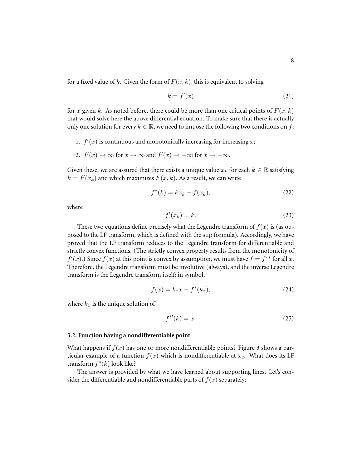for a fixed value of k. Given the form of  $F(x, k)$ , this is equivalent to solving

$$
k = f'(x) \tag{21}
$$

for x given k. As noted before, there could be more than one critical points of  $F(x, k)$ that would solve here the above differential equation. To make sure that there is actually only one solution for every  $k \in \mathbb{R}$ , we need to impose the following two conditions on f:

- 1.  $f'(x)$  is continuous and monotonically increasing for increasing x;
- 2.  $f'(x) \to \infty$  for  $x \to \infty$  and  $f'(x) \to -\infty$  for  $x \to -\infty$ .

Given these, we are assured that there exists a unique value  $x_k$  for each  $k \in \mathbb{R}$  satisfying  $k = f'(x_k)$  and which maximizes  $F(x, k)$ . As a result, we can write

$$
f^*(k) = kx_k - f(x_k),\tag{22}
$$

where

$$
f'(x_k) = k.\t\t(23)
$$

These two equations define precisely what the Legendre transform of  $f(x)$  is (as opposed to the LF transform, which is defined with the sup formula). Accordingly, we have proved that the LF transform reduces to the Legendre transform for differentiable and strictly convex functions. (The strictly convex property results from the monotonicity of  $f'(x)$ .) Since  $f(x)$  at this point is convex by assumption, we must have  $f = f^{**}$  for all x. Therefore, the Legendre transform must be involutive (always), and the inverse Legendre transform is the Legendre transform itself; in symbol,

$$
f(x) = k_x x - f^*(k_x),
$$
 (24)

where  $k_x$  is the unique solution of

$$
f^{*'}(k) = x.\tag{25}
$$

#### **3.2. Function having a nondifferentiable point**

What happens if  $f(x)$  has one or more nondifferentiable points? Figure 3 shows a particular example of a function  $f(x)$  which is nondifferentiable at  $x_c$ . What does its LF transform  $f^*(k)$  look like?

The answer is provided by what we have learned about supporting lines. Let's consider the differentiable and nondifferentiable parts of  $f(x)$  separately: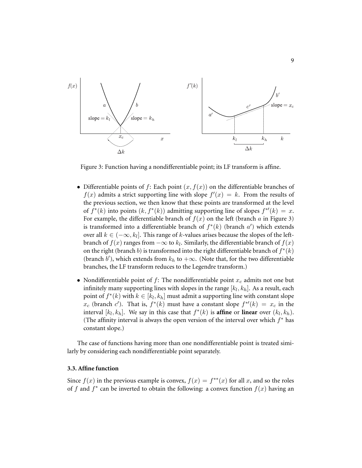

Figure 3: Function having a nondifferentiable point; its LF transform is affine.

- Differentiable points of f: Each point  $(x, f(x))$  on the differentiable branches of  $f(x)$  admits a strict supporting line with slope  $f'(x) = k$ . From the results of the previous section, we then know that these points are transformed at the level of  $f^*(k)$  into points  $(k, f^*(k))$  admitting supporting line of slopes  $f^{*'}(k) = x$ . For example, the differentiable branch of  $f(x)$  on the left (branch a in Figure 3) is transformed into a differentiable branch of  $f^*(k)$  (branch  $a'$ ) which extends over all  $k \in (-\infty, k_l]$ . This range of  $k$ -values arises because the slopes of the leftbranch of  $f(x)$  ranges from  $-\infty$  to  $k_l.$  Similarly, the differentiable branch of  $f(x)$ on the right (branch b) is transformed into the right differentiable branch of  $f^*(k)$ (branch b'), which extends from  $k_h$  to  $+\infty$ . (Note that, for the two differentiable branches, the LF transform reduces to the Legendre transform.)
- Nondifferentiable point of f: The nondifferentiable point  $x_c$  admits not one but infinitely many supporting lines with slopes in the range  $\left[ k_l, k_h \right]$ . As a result, each point of  $f^*(k)$  with  $k \in [k_l, k_h]$  must admit a supporting line with constant slope  $x_c$  (branch c'). That is,  $f^*(k)$  must have a constant slope  $f^{*'}(k) = x_c$  in the interval  $[k_l, k_h]$ . We say in this case that  $f^*(k)$  is **affine** or **linear** over  $(k_l, k_h)$ . (The affinity interval is always the open version of the interval over which  $f^*$  has constant slope.)

The case of functions having more than one nondifferentiable point is treated similarly by considering each nondifferentiable point separately.

#### **3.3. Affine function**

Since  $f(x)$  in the previous example is convex,  $f(x) = f^{**}(x)$  for all x, and so the roles of f and  $f^*$  can be inverted to obtain the following: a convex function  $f(x)$  having an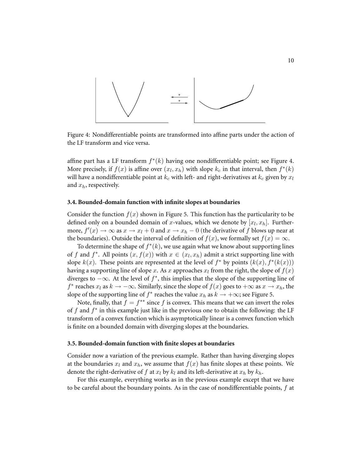

Figure 4: Nondifferentiable points are transformed into affine parts under the action of the LF transform and vice versa.

affine part has a LF transform  $f^*(k)$  having one nondifferentiable point; see Figure 4. More precisely, if  $f(x)$  is affine over  $(x_l, x_h)$  with slope  $k_c$  in that interval, then  $f^*(k)$ will have a nondifferentiable point at  $k_c$  with left- and right-derivatives at  $k_c$  given by  $x_l$ and  $x_h$ , respectively.

#### **3.4. Bounded-domain function with infinite slopes at boundaries**

Consider the function  $f(x)$  shown in Figure 5. This function has the particularity to be defined only on a bounded domain of x-values, which we denote by  $[x_l, x_h]$ . Furthermore,  $f'(x) \to \infty$  as  $x \to x_l + 0$  and  $x \to x_h - 0$  (the derivative of f blows up near at the boundaries). Outside the interval of definition of  $f(x)$ , we formally set  $f(x) = \infty$ .

To determine the shape of  $f^*(k)$ , we use again what we know about supporting lines of f and  $f^*$ . All points  $(x, f(x))$  with  $x \in (x_l, x_h)$  admit a strict supporting line with slope  $k(x)$ . These points are represented at the level of  $f^*$  by points  $(k(x), f^*(k(x)))$ having a supporting line of slope  $x.$  As  $x$  approaches  $x_l$  from the right, the slope of  $f(x)$ diverges to  $-\infty$ . At the level of  $f^*$ , this implies that the slope of the supporting line of  $f^*$  reaches  $x_l$  as  $k \to -\infty$ . Similarly, since the slope of  $f(x)$  goes to  $+\infty$  as  $x \to x_h$ , the slope of the supporting line of  $f^*$  reaches the value  $x_h$  as  $k \to +\infty$ ; see Figure 5.

Note, finally, that  $f = f^{**}$  since f is convex. This means that we can invert the roles of  $f$  and  $f^*$  in this example just like in the previous one to obtain the following: the LF transform of a convex function which is asymptotically linear is a convex function which is finite on a bounded domain with diverging slopes at the boundaries.

#### **3.5. Bounded-domain function with finite slopes at boundaries**

Consider now a variation of the previous example. Rather than having diverging slopes at the boundaries  $x_l$  and  $x_h$ , we assume that  $f(x)$  has finite slopes at these points. We denote the right-derivative of f at  $x_l$  by  $k_l$  and its left-derivative at  $x_h$  by  $k_h$ .

For this example, everything works as in the previous example except that we have to be careful about the boundary points. As in the case of nondifferentiable points, f at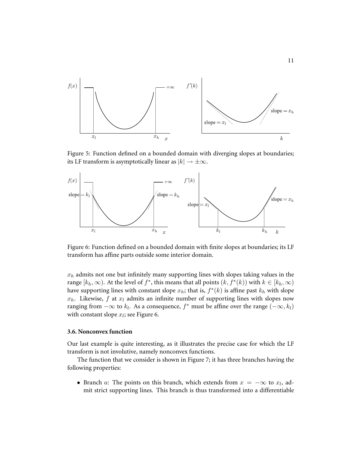

Figure 5: Function defined on a bounded domain with diverging slopes at boundaries; its LF transform is asymptotically linear as  $|k| \to \pm \infty$ .



Figure 6: Function defined on a bounded domain with finite slopes at boundaries; its LF transform has affine parts outside some interior domain.

 $x_h$  admits not one but infinitely many supporting lines with slopes taking values in the range  $[k_h, \infty)$ . At the level of  $f^*$ , this means that all points  $(k, f^*(k))$  with  $k \in [k_h, \infty)$ have supporting lines with constant slope  $x_h$ ; that is,  $f^*(k)$  is affine past  $k_h$  with slope  $x_h$ . Likewise, f at  $x_l$  admits an infinite number of supporting lines with slopes now ranging from  $-\infty$  to  $k_l$ . As a consequence,  $f^*$  must be affine over the range  $(-\infty, k_l)$ with constant slope  $x_l$ ; see Figure 6.

## **3.6. Nonconvex function**

Our last example is quite interesting, as it illustrates the precise case for which the LF transform is not involutive, namely nonconvex functions.

The function that we consider is shown in Figure 7; it has three branches having the following properties:

• Branch a: The points on this branch, which extends from  $x = -\infty$  to  $x_l$ , admit strict supporting lines. This branch is thus transformed into a differentiable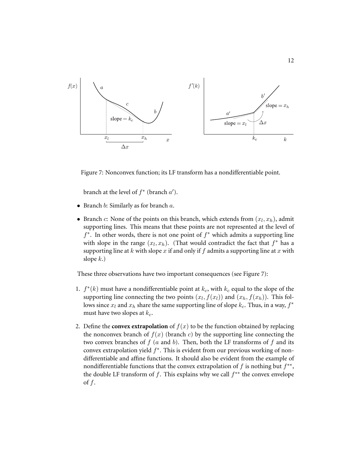

Figure 7: Nonconvex function; its LF transform has a nondifferentiable point.

branch at the level of  $f^*$  (branch  $a'$ ).

- Branch b: Similarly as for branch a.
- Branch  $c$ : None of the points on this branch, which extends from  $(x_l, x_h)$ , admit supporting lines. This means that these points are not represented at the level of  $f^*$ . In other words, there is not one point of  $f^*$  which admits a supporting line with slope in the range  $(x_l, x_h)$ . (That would contradict the fact that  $f^*$  has a supporting line at k with slope x if and only if f admits a supporting line at x with slope  $k$ .)

These three observations have two important consequences (see Figure 7):

- 1.  $f^*(k)$  must have a nondifferentiable point at  $k_c$ , with  $k_c$  equal to the slope of the supporting line connecting the two points  $(x_l, f(x_l))$  and  $(x_h, f(x_h))$ . This follows since  $x_l$  and  $x_h$  share the same supporting line of slope  $k_c$ . Thus, in a way,  $f^*$ must have two slopes at  $k_c$ .
- 2. Define the **convex extrapolation** of  $f(x)$  to be the function obtained by replacing the nonconvex branch of  $f(x)$  (branch c) by the supporting line connecting the two convex branches of  $f$  ( $a$  and  $b$ ). Then, both the LF transforms of  $f$  and its convex extrapolation yield  $f^*$ . This is evident from our previous working of nondifferentiable and affine functions. It should also be evident from the example of nondifferentiable functions that the convex extrapolation of  $f$  is nothing but  $f^{**}$ , the double LF transform of  $f$ . This explains why we call  $f^{**}$  the convex envelope of  $f$ .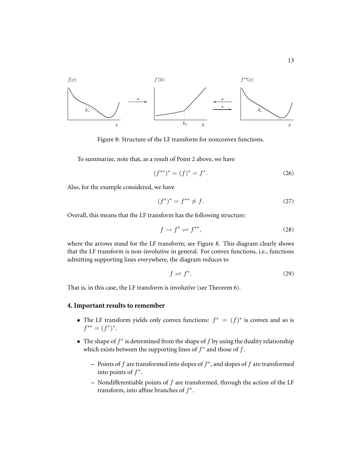

Figure 8: Structure of the LF transform for nonconvex functions.

To summarize, note that, as a result of Point 2 above, we have

$$
(f^{**})^* = (f)^* = f^*.
$$
 (26)

Also, for the example considered, we have

$$
(f^*)^* = f^{**} \neq f.
$$
 (27)

Overall, this means that the LF transform has the following structure:

$$
f \to f^* \rightleftharpoons f^{**},\tag{28}
$$

where the arrows stand for the LF transform; see Figure 8. This diagram clearly shows that the LF transform is non-involutive in general. For convex functions, i.e., functions admitting supporting lines everywhere, the diagram reduces to

$$
f \rightleftharpoons f^*.\tag{29}
$$

That is, in this case, the LF transform is involutive (see Theorem 6).

# **4. Important results to remember**

- The LF transform yields only convex functions:  $f^* = (f)^*$  is convex and so is  $f^{**} = (f^*)^*.$
- The shape of  $f^*$  is determined from the shape of  $f$  by using the duality relationship which exists between the supporting lines of  $f^*$  and those of  $f$ .
	- **–** Points of f are transformed into slopes of f ∗ , and slopes of f are transformed into points of  $f^*$ .
	- **–** Nondifferentiable points of f are transformed, through the action of the LF transform, into affine branches of  $f^*$ .